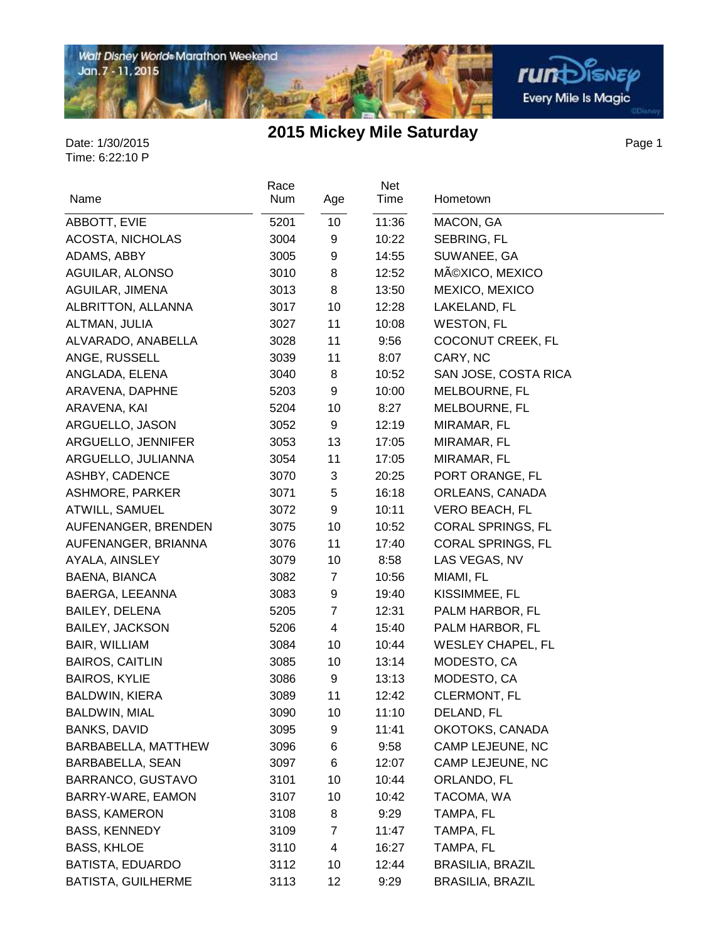

Page 1

| Name                      | Race<br>Num | Age            | Net<br>Time | Hometown                 |
|---------------------------|-------------|----------------|-------------|--------------------------|
| ABBOTT, EVIE              | 5201        | 10             | 11:36       | MACON, GA                |
| ACOSTA, NICHOLAS          | 3004        | 9              | 10:22       | SEBRING, FL              |
| ADAMS, ABBY               | 3005        | 9              | 14:55       | SUWANEE, GA              |
| AGUILAR, ALONSO           | 3010        | 8              | 12:52       | MéXICO, MEXICO           |
| AGUILAR, JIMENA           | 3013        | 8              | 13:50       | MEXICO, MEXICO           |
| ALBRITTON, ALLANNA        | 3017        | 10             | 12:28       | LAKELAND, FL             |
| ALTMAN, JULIA             | 3027        | 11             | 10:08       | <b>WESTON, FL</b>        |
| ALVARADO, ANABELLA        | 3028        | 11             | 9:56        | COCONUT CREEK, FL        |
| ANGE, RUSSELL             | 3039        | 11             | 8:07        | CARY, NC                 |
| ANGLADA, ELENA            | 3040        | 8              | 10:52       | SAN JOSE, COSTA RICA     |
| ARAVENA, DAPHNE           | 5203        | 9              | 10:00       | MELBOURNE, FL            |
| ARAVENA, KAI              | 5204        | 10             | 8:27        | MELBOURNE, FL            |
| ARGUELLO, JASON           | 3052        | 9              | 12:19       | MIRAMAR, FL              |
| ARGUELLO, JENNIFER        | 3053        | 13             | 17:05       | MIRAMAR, FL              |
| ARGUELLO, JULIANNA        | 3054        | 11             | 17:05       | MIRAMAR, FL              |
| ASHBY, CADENCE            | 3070        | 3              | 20:25       | PORT ORANGE, FL          |
| ASHMORE, PARKER           | 3071        | 5              | 16:18       | ORLEANS, CANADA          |
| ATWILL, SAMUEL            | 3072        | 9              | 10:11       | <b>VERO BEACH, FL</b>    |
| AUFENANGER, BRENDEN       | 3075        | 10             | 10:52       | <b>CORAL SPRINGS, FL</b> |
| AUFENANGER, BRIANNA       | 3076        | 11             | 17:40       | <b>CORAL SPRINGS, FL</b> |
| AYALA, AINSLEY            | 3079        | 10             | 8:58        | LAS VEGAS, NV            |
| BAENA, BIANCA             | 3082        | 7              | 10:56       | MIAMI, FL                |
| BAERGA, LEEANNA           | 3083        | 9              | 19:40       | KISSIMMEE, FL            |
| BAILEY, DELENA            | 5205        | $\overline{7}$ | 12:31       | PALM HARBOR, FL          |
| <b>BAILEY, JACKSON</b>    | 5206        | 4              | 15:40       | PALM HARBOR, FL          |
| BAIR, WILLIAM             | 3084        | 10             | 10:44       | <b>WESLEY CHAPEL, FL</b> |
| <b>BAIROS, CAITLIN</b>    | 3085        | 10             | 13:14       | MODESTO, CA              |
| <b>BAIROS, KYLIE</b>      | 3086        | 9              | 13:13       | MODESTO, CA              |
| <b>BALDWIN, KIERA</b>     | 3089        | 11             | 12:42       | <b>CLERMONT, FL</b>      |
| BALDWIN, MIAL             | 3090        | 10             | 11:10       | DELAND, FL               |
| <b>BANKS, DAVID</b>       | 3095        | 9              | 11:41       | OKOTOKS, CANADA          |
| BARBABELLA, MATTHEW       | 3096        | 6              | 9:58        | CAMP LEJEUNE, NC         |
| BARBABELLA, SEAN          | 3097        | 6              | 12:07       | CAMP LEJEUNE, NC         |
| BARRANCO, GUSTAVO         | 3101        | 10             | 10:44       | ORLANDO, FL              |
| BARRY-WARE, EAMON         | 3107        | 10             | 10:42       | TACOMA, WA               |
| <b>BASS, KAMERON</b>      | 3108        | 8              | 9:29        | TAMPA, FL                |
| <b>BASS, KENNEDY</b>      | 3109        | 7              | 11:47       | TAMPA, FL                |
| <b>BASS, KHLOE</b>        | 3110        | 4              | 16:27       | TAMPA, FL                |
| BATISTA, EDUARDO          | 3112        | 10             | 12:44       | <b>BRASILIA, BRAZIL</b>  |
| <b>BATISTA, GUILHERME</b> | 3113        | 12             | 9:29        | <b>BRASILIA, BRAZIL</b>  |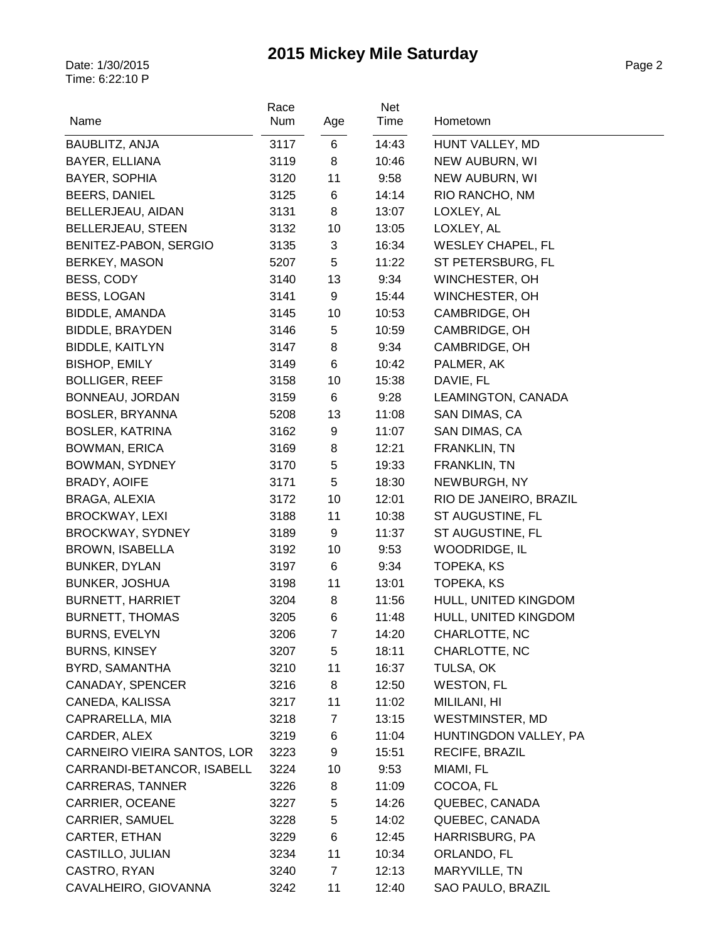| Name                        | Race<br>Num | Age   | Net<br>Time | Hometown                 |
|-----------------------------|-------------|-------|-------------|--------------------------|
| BAUBLITZ, ANJA              | 3117        | 6     | 14:43       | HUNT VALLEY, MD          |
| BAYER, ELLIANA              | 3119        | 8     | 10:46       | NEW AUBURN, WI           |
| BAYER, SOPHIA               | 3120        | 11    | 9:58        | NEW AUBURN, WI           |
| <b>BEERS, DANIEL</b>        | 3125        | 6     | 14:14       | RIO RANCHO, NM           |
| BELLERJEAU, AIDAN           | 3131        | 8     | 13:07       | LOXLEY, AL               |
| <b>BELLERJEAU, STEEN</b>    | 3132        | 10    | 13:05       | LOXLEY, AL               |
| BENITEZ-PABON, SERGIO       | 3135        | 3     | 16:34       | <b>WESLEY CHAPEL, FL</b> |
| BERKEY, MASON               | 5207        | 5     | 11:22       | ST PETERSBURG, FL        |
| BESS, CODY                  | 3140        | 13    | 9:34        | WINCHESTER, OH           |
| <b>BESS, LOGAN</b>          | 3141        | 9     | 15:44       | WINCHESTER, OH           |
| BIDDLE, AMANDA              | 3145        | 10    | 10:53       | CAMBRIDGE, OH            |
| <b>BIDDLE, BRAYDEN</b>      | 3146        | 5     | 10:59       | CAMBRIDGE, OH            |
| <b>BIDDLE, KAITLYN</b>      | 3147        | 8     | 9:34        | CAMBRIDGE, OH            |
| <b>BISHOP, EMILY</b>        | 3149        | 6     | 10:42       | PALMER, AK               |
| <b>BOLLIGER, REEF</b>       | 3158        | 10    | 15:38       | DAVIE, FL                |
| BONNEAU, JORDAN             | 3159        | 6     | 9:28        | LEAMINGTON, CANADA       |
| BOSLER, BRYANNA             | 5208        | 13    | 11:08       | SAN DIMAS, CA            |
| <b>BOSLER, KATRINA</b>      | 3162        | 9     | 11:07       | SAN DIMAS, CA            |
| <b>BOWMAN, ERICA</b>        | 3169        | 8     | 12:21       | FRANKLIN, TN             |
| BOWMAN, SYDNEY              | 3170        | 5     | 19:33       | FRANKLIN, TN             |
| <b>BRADY, AOIFE</b>         | 3171        | 5     | 18:30       | NEWBURGH, NY             |
| BRAGA, ALEXIA               | 3172        | 10    | 12:01       | RIO DE JANEIRO, BRAZIL   |
| <b>BROCKWAY, LEXI</b>       | 3188        | 11    | 10:38       | ST AUGUSTINE, FL         |
| BROCKWAY, SYDNEY            | 3189        | 9     | 11:37       | ST AUGUSTINE, FL         |
| BROWN, ISABELLA             | 3192        | 10    | 9:53        | WOODRIDGE, IL            |
| <b>BUNKER, DYLAN</b>        | 3197        | 6     | 9:34        | TOPEKA, KS               |
| <b>BUNKER, JOSHUA</b>       | 3198        | 11    | 13:01       | TOPEKA, KS               |
| <b>BURNETT, HARRIET</b>     | 3204        | 8     | 11:56       | HULL, UNITED KINGDOM     |
| <b>BURNETT, THOMAS</b>      | 3205        | $\,6$ | 11:48       | HULL, UNITED KINGDOM     |
| <b>BURNS, EVELYN</b>        | 3206        | 7     | 14:20       | CHARLOTTE, NC            |
| <b>BURNS, KINSEY</b>        | 3207        | 5     | 18:11       | CHARLOTTE, NC            |
| BYRD, SAMANTHA              | 3210        | 11    | 16:37       | TULSA, OK                |
| CANADAY, SPENCER            | 3216        | 8     | 12:50       | <b>WESTON, FL</b>        |
| CANEDA, KALISSA             | 3217        | 11    | 11:02       | MILILANI, HI             |
| CAPRARELLA, MIA             | 3218        | 7     | 13:15       | WESTMINSTER, MD          |
| CARDER, ALEX                | 3219        | 6     | 11:04       | HUNTINGDON VALLEY, PA    |
| CARNEIRO VIEIRA SANTOS, LOR | 3223        | 9     | 15:51       | RECIFE, BRAZIL           |
| CARRANDI-BETANCOR, ISABELL  | 3224        | 10    | 9:53        | MIAMI, FL                |
| CARRERAS, TANNER            | 3226        | 8     | 11:09       | COCOA, FL                |
| CARRIER, OCEANE             | 3227        | 5     | 14:26       | QUEBEC, CANADA           |
| CARRIER, SAMUEL             | 3228        | 5     | 14:02       | QUEBEC, CANADA           |
| CARTER, ETHAN               | 3229        | 6     | 12:45       | HARRISBURG, PA           |
| CASTILLO, JULIAN            | 3234        | 11    | 10:34       | ORLANDO, FL              |
| CASTRO, RYAN                | 3240        | 7     | 12:13       | MARYVILLE, TN            |
| CAVALHEIRO, GIOVANNA        | 3242        | 11    | 12:40       | SAO PAULO, BRAZIL        |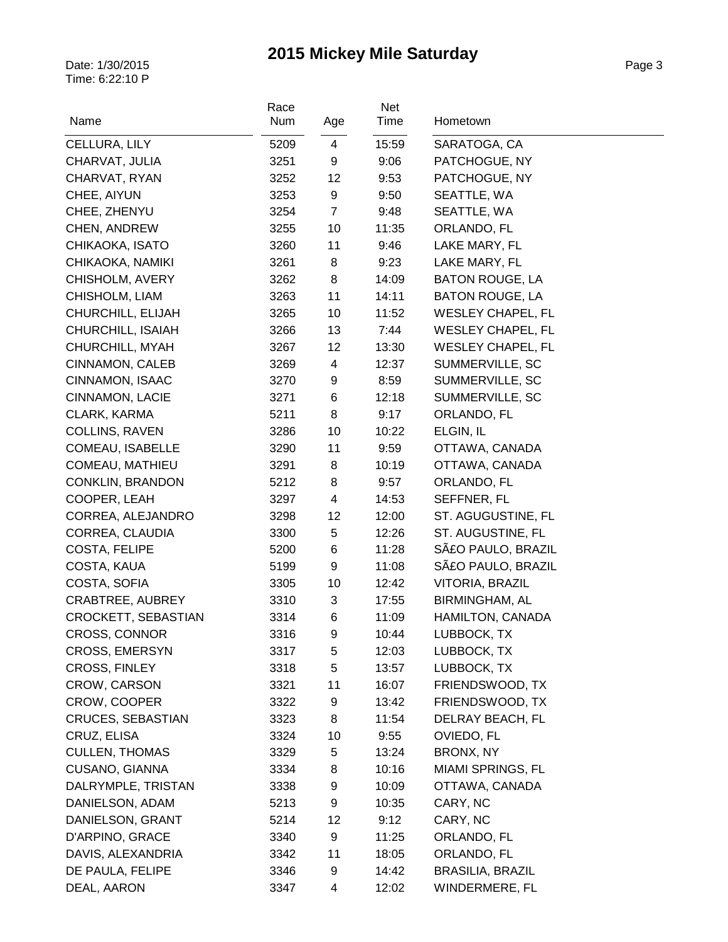| Name                     | Race<br>Num | Age                     | Net<br>Time | Hometown                 |
|--------------------------|-------------|-------------------------|-------------|--------------------------|
| CELLURA, LILY            | 5209        | 4                       | 15:59       | SARATOGA, CA             |
| CHARVAT, JULIA           | 3251        | 9                       | 9:06        | PATCHOGUE, NY            |
| CHARVAT, RYAN            | 3252        | 12                      | 9:53        | PATCHOGUE, NY            |
| CHEE, AIYUN              | 3253        | 9                       | 9:50        | SEATTLE, WA              |
| CHEE, ZHENYU             | 3254        | $\overline{7}$          | 9:48        | SEATTLE, WA              |
| CHEN, ANDREW             | 3255        | 10                      | 11:35       | ORLANDO, FL              |
| CHIKAOKA, ISATO          | 3260        | 11                      | 9:46        | LAKE MARY, FL            |
| CHIKAOKA, NAMIKI         | 3261        | 8                       | 9:23        | LAKE MARY, FL            |
| CHISHOLM, AVERY          | 3262        | 8                       | 14:09       | <b>BATON ROUGE, LA</b>   |
| CHISHOLM, LIAM           | 3263        | 11                      | 14:11       | <b>BATON ROUGE, LA</b>   |
| CHURCHILL, ELIJAH        | 3265        | 10                      | 11:52       | <b>WESLEY CHAPEL, FL</b> |
| CHURCHILL, ISAIAH        | 3266        | 13                      | 7:44        | <b>WESLEY CHAPEL, FL</b> |
| CHURCHILL, MYAH          | 3267        | 12                      | 13:30       | <b>WESLEY CHAPEL, FL</b> |
| CINNAMON, CALEB          | 3269        | 4                       | 12:37       | SUMMERVILLE, SC          |
| CINNAMON, ISAAC          | 3270        | 9                       | 8:59        | SUMMERVILLE, SC          |
| CINNAMON, LACIE          | 3271        | $\,6$                   | 12:18       | SUMMERVILLE, SC          |
| CLARK, KARMA             | 5211        | 8                       | 9:17        | ORLANDO, FL              |
| COLLINS, RAVEN           | 3286        | 10                      | 10:22       | ELGIN, IL                |
| COMEAU, ISABELLE         | 3290        | 11                      | 9:59        | OTTAWA, CANADA           |
| COMEAU, MATHIEU          | 3291        | 8                       | 10:19       | OTTAWA, CANADA           |
| CONKLIN, BRANDON         | 5212        | 8                       | 9:57        | ORLANDO, FL              |
| COOPER, LEAH             | 3297        | $\overline{\mathbf{4}}$ | 14:53       | SEFFNER, FL              |
| CORREA, ALEJANDRO        | 3298        | 12                      | 12:00       | ST. AGUGUSTINE, FL       |
| CORREA, CLAUDIA          | 3300        | $\sqrt{5}$              | 12:26       | ST. AUGUSTINE, FL        |
| COSTA, FELIPE            | 5200        | 6                       | 11:28       | SãO PAULO, BRAZIL        |
| COSTA, KAUA              | 5199        | 9                       | 11:08       | SãO PAULO, BRAZIL        |
| COSTA, SOFIA             | 3305        | 10                      | 12:42       | VITORIA, BRAZIL          |
| CRABTREE, AUBREY         | 3310        | 3                       | 17:55       | <b>BIRMINGHAM, AL</b>    |
| CROCKETT, SEBASTIAN      | 3314        | 6                       | 11:09       | HAMILTON, CANADA         |
| CROSS, CONNOR            | 3316        | 9                       | 10:44       | LUBBOCK, TX              |
| <b>CROSS, EMERSYN</b>    | 3317        | 5                       | 12:03       | LUBBOCK, TX              |
| <b>CROSS, FINLEY</b>     | 3318        | 5                       | 13:57       | LUBBOCK, TX              |
| CROW, CARSON             | 3321        | 11                      | 16:07       | FRIENDSWOOD, TX          |
| CROW, COOPER             | 3322        | 9                       | 13:42       | FRIENDSWOOD, TX          |
| <b>CRUCES, SEBASTIAN</b> | 3323        | 8                       | 11:54       | DELRAY BEACH, FL         |
| CRUZ, ELISA              | 3324        | 10                      | 9:55        | OVIEDO, FL               |
| <b>CULLEN, THOMAS</b>    | 3329        | 5                       | 13:24       | BRONX, NY                |
| <b>CUSANO, GIANNA</b>    | 3334        | 8                       | 10:16       | <b>MIAMI SPRINGS, FL</b> |
| DALRYMPLE, TRISTAN       | 3338        | 9                       | 10:09       | OTTAWA, CANADA           |
| DANIELSON, ADAM          | 5213        | 9                       | 10:35       | CARY, NC                 |
| DANIELSON, GRANT         | 5214        | 12                      | 9:12        | CARY, NC                 |
| D'ARPINO, GRACE          | 3340        | 9                       | 11:25       | ORLANDO, FL              |
| DAVIS, ALEXANDRIA        | 3342        | 11                      | 18:05       | ORLANDO, FL              |
| DE PAULA, FELIPE         | 3346        | 9                       | 14:42       | <b>BRASILIA, BRAZIL</b>  |
| DEAL, AARON              | 3347        | 4                       | 12:02       | WINDERMERE, FL           |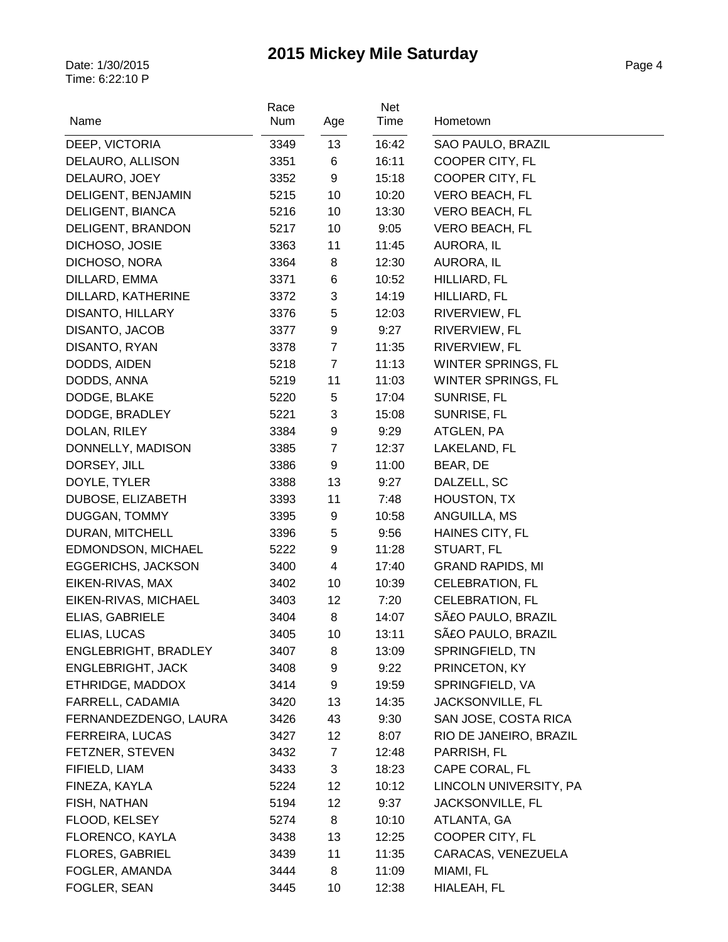| Name                      | Race<br>Num | Age            | Net<br>Time | Hometown                |
|---------------------------|-------------|----------------|-------------|-------------------------|
| DEEP, VICTORIA            | 3349        | 13             | 16:42       | SAO PAULO, BRAZIL       |
| DELAURO, ALLISON          | 3351        | 6              | 16:11       | COOPER CITY, FL         |
| DELAURO, JOEY             | 3352        | 9              | 15:18       | COOPER CITY, FL         |
| DELIGENT, BENJAMIN        | 5215        | 10             | 10:20       | <b>VERO BEACH, FL</b>   |
| DELIGENT, BIANCA          | 5216        | 10             | 13:30       | VERO BEACH, FL          |
| DELIGENT, BRANDON         | 5217        | 10             | 9:05        | VERO BEACH, FL          |
| DICHOSO, JOSIE            | 3363        | 11             | 11:45       | AURORA, IL              |
| DICHOSO, NORA             | 3364        | 8              | 12:30       | AURORA, IL              |
| DILLARD, EMMA             | 3371        | 6              | 10:52       | HILLIARD, FL            |
| DILLARD, KATHERINE        | 3372        | 3              | 14:19       | HILLIARD, FL            |
| <b>DISANTO, HILLARY</b>   | 3376        | 5              | 12:03       | RIVERVIEW, FL           |
| DISANTO, JACOB            | 3377        | 9              | 9:27        | RIVERVIEW, FL           |
| DISANTO, RYAN             | 3378        | $\overline{7}$ | 11:35       | RIVERVIEW, FL           |
| DODDS, AIDEN              | 5218        | $\overline{7}$ | 11:13       | WINTER SPRINGS, FL      |
| DODDS, ANNA               | 5219        | 11             | 11:03       | WINTER SPRINGS, FL      |
| DODGE, BLAKE              | 5220        | 5              | 17:04       | SUNRISE, FL             |
| DODGE, BRADLEY            | 5221        | 3              | 15:08       | SUNRISE, FL             |
| DOLAN, RILEY              | 3384        | 9              | 9:29        | ATGLEN, PA              |
| DONNELLY, MADISON         | 3385        | $\overline{7}$ | 12:37       | LAKELAND, FL            |
| DORSEY, JILL              | 3386        | 9              | 11:00       | BEAR, DE                |
| DOYLE, TYLER              | 3388        | 13             | 9:27        | DALZELL, SC             |
| DUBOSE, ELIZABETH         | 3393        | 11             | 7:48        | HOUSTON, TX             |
| DUGGAN, TOMMY             | 3395        | 9              | 10:58       | ANGUILLA, MS            |
| DURAN, MITCHELL           | 3396        | 5              | 9:56        | HAINES CITY, FL         |
| <b>EDMONDSON, MICHAEL</b> | 5222        | 9              | 11:28       | STUART, FL              |
| <b>EGGERICHS, JACKSON</b> | 3400        | $\overline{4}$ | 17:40       | <b>GRAND RAPIDS, MI</b> |
| EIKEN-RIVAS, MAX          | 3402        | 10             | 10:39       | <b>CELEBRATION, FL</b>  |
| EIKEN-RIVAS, MICHAEL      | 3403        | 12             | 7:20        | <b>CELEBRATION, FL</b>  |
| ELIAS, GABRIELE           | 3404        | 8              | 14:07       | SãO PAULO, BRAZIL       |
| ELIAS, LUCAS              | 3405        | 10             | 13:11       | SãO PAULO, BRAZIL       |
| ENGLEBRIGHT, BRADLEY      | 3407        | 8              | 13:09       | SPRINGFIELD, TN         |
| <b>ENGLEBRIGHT, JACK</b>  | 3408        | 9              | 9:22        | PRINCETON, KY           |
| ETHRIDGE, MADDOX          | 3414        | 9              | 19:59       | SPRINGFIELD, VA         |
| FARRELL, CADAMIA          | 3420        | 13             | 14:35       | JACKSONVILLE, FL        |
| FERNANDEZDENGO, LAURA     | 3426        | 43             | 9:30        | SAN JOSE, COSTA RICA    |
| <b>FERREIRA, LUCAS</b>    | 3427        | 12             | 8:07        | RIO DE JANEIRO, BRAZIL  |
| FETZNER, STEVEN           | 3432        | $\overline{7}$ | 12:48       | PARRISH, FL             |
| FIFIELD, LIAM             | 3433        | 3              | 18:23       | CAPE CORAL, FL          |
| FINEZA, KAYLA             | 5224        | 12             | 10:12       | LINCOLN UNIVERSITY, PA  |
| FISH, NATHAN              | 5194        | 12             | 9:37        | JACKSONVILLE, FL        |
| FLOOD, KELSEY             | 5274        | 8              | 10:10       | ATLANTA, GA             |
| FLORENCO, KAYLA           | 3438        | 13             | 12:25       | COOPER CITY, FL         |
| <b>FLORES, GABRIEL</b>    | 3439        | 11             | 11:35       | CARACAS, VENEZUELA      |
| FOGLER, AMANDA            | 3444        | 8              | 11:09       | MIAMI, FL               |
| FOGLER, SEAN              | 3445        | 10             | 12:38       | HIALEAH, FL             |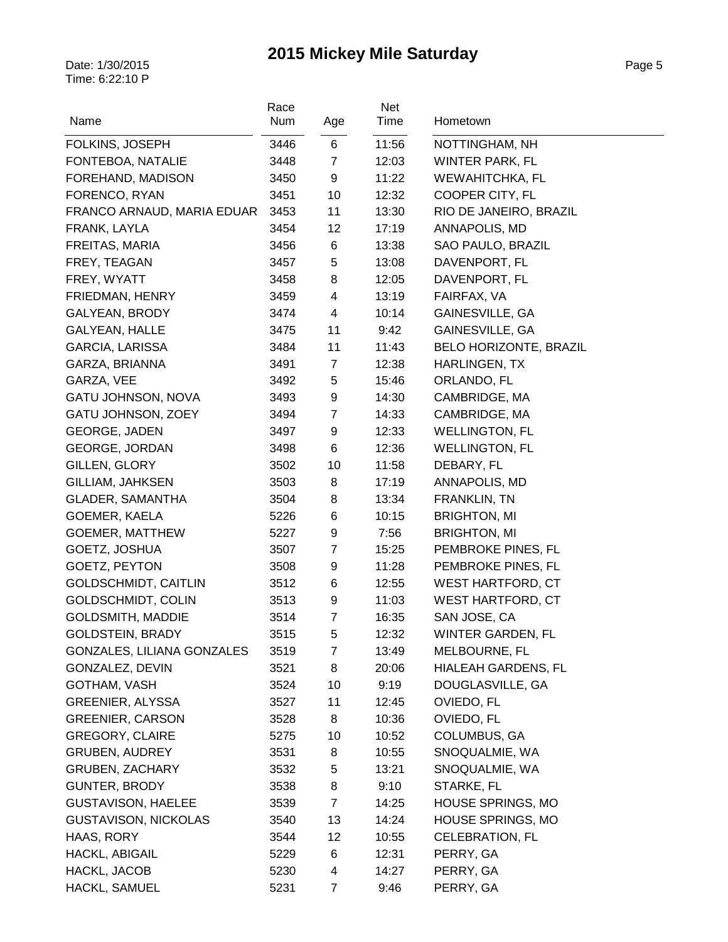| Name                        | Race<br>Num | Age            | Net<br>Time | Hometown                      |
|-----------------------------|-------------|----------------|-------------|-------------------------------|
| FOLKINS, JOSEPH             | 3446        | 6              | 11:56       | NOTTINGHAM, NH                |
| FONTEBOA, NATALIE           | 3448        | $\overline{7}$ | 12:03       | <b>WINTER PARK, FL</b>        |
| FOREHAND, MADISON           | 3450        | 9              | 11:22       | WEWAHITCHKA, FL               |
| FORENCO, RYAN               | 3451        | 10             | 12:32       | COOPER CITY, FL               |
| FRANCO ARNAUD, MARIA EDUAR  | 3453        | 11             | 13:30       | RIO DE JANEIRO, BRAZIL        |
| FRANK, LAYLA                | 3454        | 12             | 17:19       | ANNAPOLIS, MD                 |
| FREITAS, MARIA              | 3456        | 6              | 13:38       | SAO PAULO, BRAZIL             |
| FREY, TEAGAN                | 3457        | 5              | 13:08       | DAVENPORT, FL                 |
| FREY, WYATT                 | 3458        | 8              | 12:05       | DAVENPORT, FL                 |
| FRIEDMAN, HENRY             | 3459        | $\overline{4}$ | 13:19       | FAIRFAX, VA                   |
| <b>GALYEAN, BRODY</b>       | 3474        | $\overline{4}$ | 10:14       | GAINESVILLE, GA               |
| GALYEAN, HALLE              | 3475        | 11             | 9:42        | GAINESVILLE, GA               |
| <b>GARCIA, LARISSA</b>      | 3484        | 11             | 11:43       | <b>BELO HORIZONTE, BRAZIL</b> |
| GARZA, BRIANNA              | 3491        | $\overline{7}$ | 12:38       | HARLINGEN, TX                 |
| GARZA, VEE                  | 3492        | 5              | 15:46       | ORLANDO, FL                   |
| GATU JOHNSON, NOVA          | 3493        | 9              | 14:30       | CAMBRIDGE, MA                 |
| GATU JOHNSON, ZOEY          | 3494        | $\overline{7}$ | 14:33       | CAMBRIDGE, MA                 |
| <b>GEORGE, JADEN</b>        | 3497        | 9              | 12:33       | <b>WELLINGTON, FL</b>         |
| <b>GEORGE, JORDAN</b>       | 3498        | 6              | 12:36       | <b>WELLINGTON, FL</b>         |
| GILLEN, GLORY               | 3502        | 10             | 11:58       | DEBARY, FL                    |
| GILLIAM, JAHKSEN            | 3503        | 8              | 17:19       | ANNAPOLIS, MD                 |
| <b>GLADER, SAMANTHA</b>     | 3504        | 8              | 13:34       | FRANKLIN, TN                  |
| GOEMER, KAELA               | 5226        | 6              | 10:15       | <b>BRIGHTON, MI</b>           |
| <b>GOEMER, MATTHEW</b>      | 5227        | 9              | 7:56        | <b>BRIGHTON, MI</b>           |
| GOETZ, JOSHUA               | 3507        | $\overline{7}$ | 15:25       | PEMBROKE PINES, FL            |
| GOETZ, PEYTON               | 3508        | 9              | 11:28       | PEMBROKE PINES, FL            |
| <b>GOLDSCHMIDT, CAITLIN</b> | 3512        | 6              | 12:55       | <b>WEST HARTFORD, CT</b>      |
| GOLDSCHMIDT, COLIN          | 3513        | 9              | 11:03       | <b>WEST HARTFORD, CT</b>      |
| <b>GOLDSMITH, MADDIE</b>    | 3514        | $\overline{7}$ | 16:35       | SAN JOSE, CA                  |
| <b>GOLDSTEIN, BRADY</b>     | 3515        | 5              | 12:32       | WINTER GARDEN, FL             |
| GONZALES, LILIANA GONZALES  | 3519        | 7              | 13:49       | MELBOURNE, FL                 |
| GONZALEZ, DEVIN             | 3521        | 8              | 20:06       | <b>HIALEAH GARDENS, FL</b>    |
| GOTHAM, VASH                | 3524        | 10             | 9:19        | DOUGLASVILLE, GA              |
| GREENIER, ALYSSA            | 3527        | 11             | 12:45       | OVIEDO, FL                    |
| <b>GREENIER, CARSON</b>     | 3528        | 8              | 10:36       | OVIEDO, FL                    |
| <b>GREGORY, CLAIRE</b>      | 5275        | 10             | 10:52       | COLUMBUS, GA                  |
| <b>GRUBEN, AUDREY</b>       | 3531        | 8              | 10:55       | SNOQUALMIE, WA                |
| GRUBEN, ZACHARY             | 3532        | 5              | 13:21       | SNOQUALMIE, WA                |
| GUNTER, BRODY               | 3538        | 8              | 9:10        | STARKE, FL                    |
| <b>GUSTAVISON, HAELEE</b>   | 3539        | $\overline{7}$ | 14:25       | HOUSE SPRINGS, MO             |
| <b>GUSTAVISON, NICKOLAS</b> | 3540        | 13             | 14:24       | HOUSE SPRINGS, MO             |
| HAAS, RORY                  | 3544        | 12             | 10:55       | <b>CELEBRATION, FL</b>        |
| <b>HACKL, ABIGAIL</b>       | 5229        | 6              | 12:31       | PERRY, GA                     |
| HACKL, JACOB                | 5230        | 4              | 14:27       | PERRY, GA                     |
| HACKL, SAMUEL               | 5231        | 7              | 9:46        | PERRY, GA                     |
|                             |             |                |             |                               |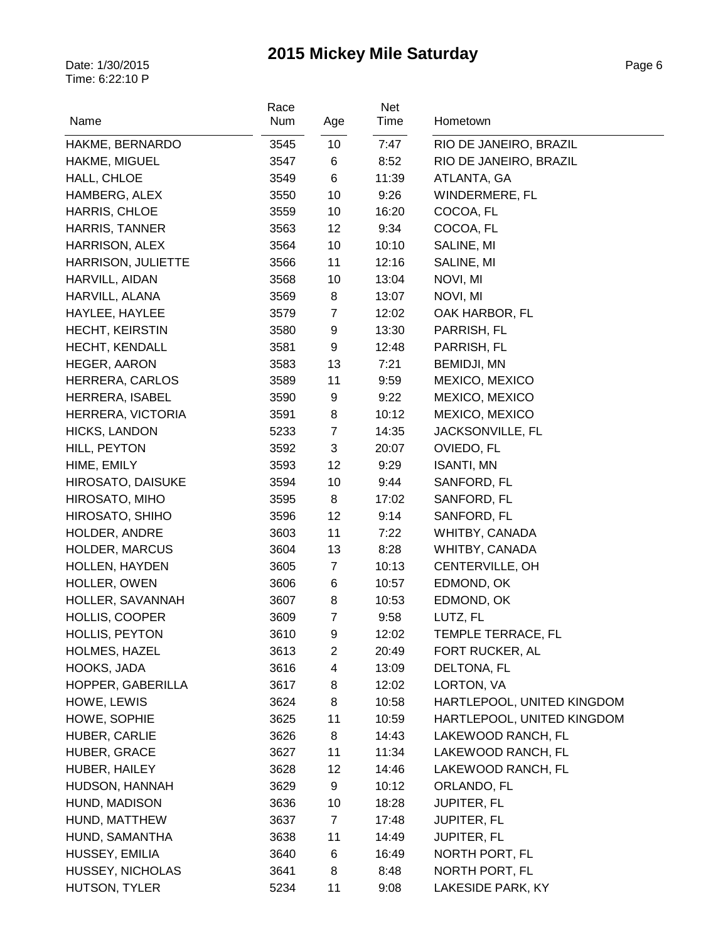| Name                        | Race<br>Num  | Age                 | Net<br>Time | Hometown                   |
|-----------------------------|--------------|---------------------|-------------|----------------------------|
| HAKME, BERNARDO             | 3545         | 10                  | 7:47        | RIO DE JANEIRO, BRAZIL     |
| HAKME, MIGUEL               | 3547         | 6                   | 8:52        | RIO DE JANEIRO, BRAZIL     |
| HALL, CHLOE                 | 3549         | 6                   | 11:39       | ATLANTA, GA                |
| HAMBERG, ALEX               | 3550         | 10                  | 9:26        | WINDERMERE, FL             |
| HARRIS, CHLOE               | 3559         | 10                  | 16:20       | COCOA, FL                  |
| <b>HARRIS, TANNER</b>       | 3563         | 12                  | 9:34        | COCOA, FL                  |
| HARRISON, ALEX              | 3564         | 10                  | 10:10       | SALINE, MI                 |
| <b>HARRISON, JULIETTE</b>   | 3566         | 11                  | 12:16       | SALINE, MI                 |
| HARVILL, AIDAN              | 3568         | 10                  | 13:04       | NOVI, MI                   |
| HARVILL, ALANA              | 3569         | 8                   | 13:07       | NOVI, MI                   |
| HAYLEE, HAYLEE              | 3579         | $\overline{7}$      | 12:02       | OAK HARBOR, FL             |
| <b>HECHT, KEIRSTIN</b>      | 3580         | 9                   | 13:30       | PARRISH, FL                |
| <b>HECHT, KENDALL</b>       | 3581         | 9                   | 12:48       | PARRISH, FL                |
| HEGER, AARON                | 3583         | 13                  | 7:21        | <b>BEMIDJI, MN</b>         |
| HERRERA, CARLOS             | 3589         | 11                  | 9:59        | MEXICO, MEXICO             |
| <b>HERRERA, ISABEL</b>      | 3590         | 9                   | 9:22        | MEXICO, MEXICO             |
| HERRERA, VICTORIA           | 3591         | 8                   | 10:12       | MEXICO, MEXICO             |
| <b>HICKS, LANDON</b>        | 5233         | $\overline{7}$      | 14:35       | JACKSONVILLE, FL           |
| HILL, PEYTON                | 3592         | 3                   | 20:07       | OVIEDO, FL                 |
| HIME, EMILY                 | 3593         | 12                  | 9:29        | <b>ISANTI, MN</b>          |
| <b>HIROSATO, DAISUKE</b>    | 3594         | 10                  | 9:44        | SANFORD, FL                |
| HIROSATO, MIHO              | 3595         | 8                   | 17:02       | SANFORD, FL                |
| HIROSATO, SHIHO             | 3596         | 12                  | 9:14        | SANFORD, FL                |
| HOLDER, ANDRE               | 3603         | 11                  | 7:22        | WHITBY, CANADA             |
| <b>HOLDER, MARCUS</b>       | 3604         | 13                  | 8:28        | WHITBY, CANADA             |
| <b>HOLLEN, HAYDEN</b>       | 3605         | $\overline{7}$      | 10:13       | CENTERVILLE, OH            |
| HOLLER, OWEN                | 3606         | 6                   | 10:57       | EDMOND, OK                 |
| HOLLER, SAVANNAH            | 3607         | 8                   | 10:53       | EDMOND, OK                 |
| HOLLIS, COOPER              | 3609         | $\overline{7}$      | 9:58        | LUTZ, FL                   |
| HOLLIS, PEYTON              | 3610         |                     | 12:02       | TEMPLE TERRACE, FL         |
| HOLMES, HAZEL               | 3613         | 9<br>$\overline{2}$ | 20:49       | FORT RUCKER, AL            |
| HOOKS, JADA                 |              | 4                   |             |                            |
|                             | 3616<br>3617 |                     | 13:09       | DELTONA, FL                |
| HOPPER, GABERILLA           |              | 8<br>8              | 12:02       | LORTON, VA                 |
| HOWE, LEWIS<br>HOWE, SOPHIE | 3624         |                     | 10:58       | HARTLEPOOL, UNITED KINGDOM |
|                             | 3625         | 11                  | 10:59       | HARTLEPOOL, UNITED KINGDOM |
| HUBER, CARLIE               | 3626         | 8                   | 14:43       | LAKEWOOD RANCH, FL         |
| HUBER, GRACE                | 3627         | 11                  | 11:34       | LAKEWOOD RANCH, FL         |
| HUBER, HAILEY               | 3628         | 12                  | 14:46       | LAKEWOOD RANCH, FL         |
| HUDSON, HANNAH              | 3629         | 9                   | 10:12       | ORLANDO, FL                |
| HUND, MADISON               | 3636         | 10                  | 18:28       | <b>JUPITER, FL</b>         |
| HUND, MATTHEW               | 3637         | $\overline{7}$      | 17:48       | <b>JUPITER, FL</b>         |
| HUND, SAMANTHA              | 3638         | 11                  | 14:49       | <b>JUPITER, FL</b>         |
| HUSSEY, EMILIA              | 3640         | 6                   | 16:49       | NORTH PORT, FL             |
| HUSSEY, NICHOLAS            | 3641         | 8                   | 8:48        | NORTH PORT, FL             |
| HUTSON, TYLER               | 5234         | 11                  | 9:08        | LAKESIDE PARK, KY          |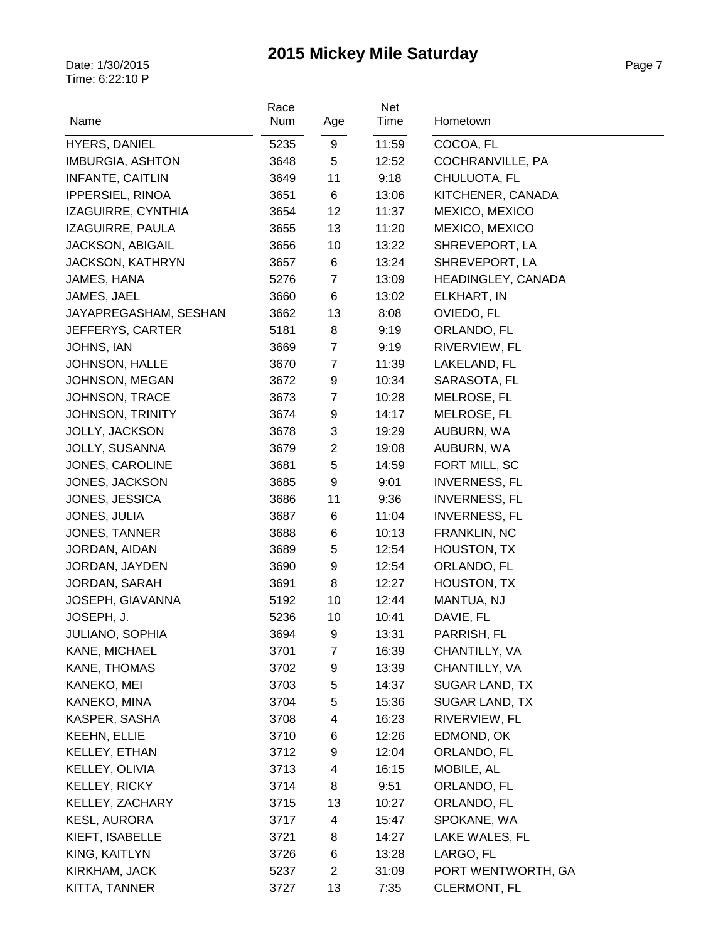| Name                    | Race<br>Num | Age              | Net<br>Time | Hometown             |
|-------------------------|-------------|------------------|-------------|----------------------|
| <b>HYERS, DANIEL</b>    | 5235        | 9                | 11:59       | COCOA, FL            |
| <b>IMBURGIA, ASHTON</b> | 3648        | 5                | 12:52       | COCHRANVILLE, PA     |
| <b>INFANTE, CAITLIN</b> | 3649        | 11               | 9:18        | CHULUOTA, FL         |
| <b>IPPERSIEL, RINOA</b> | 3651        | $\,6$            | 13:06       | KITCHENER, CANADA    |
| IZAGUIRRE, CYNTHIA      | 3654        | 12               | 11:37       | MEXICO, MEXICO       |
| IZAGUIRRE, PAULA        | 3655        | 13               | 11:20       | MEXICO, MEXICO       |
| <b>JACKSON, ABIGAIL</b> | 3656        | 10               | 13:22       | SHREVEPORT, LA       |
| <b>JACKSON, KATHRYN</b> | 3657        | 6                | 13:24       | SHREVEPORT, LA       |
| JAMES, HANA             | 5276        | $\overline{7}$   | 13:09       | HEADINGLEY, CANADA   |
| JAMES, JAEL             | 3660        | 6                | 13:02       | ELKHART, IN          |
| JAYAPREGASHAM, SESHAN   | 3662        | 13               | 8:08        | OVIEDO, FL           |
| JEFFERYS, CARTER        | 5181        | 8                | 9:19        | ORLANDO, FL          |
| JOHNS, IAN              | 3669        | $\overline{7}$   | 9:19        | RIVERVIEW, FL        |
| <b>JOHNSON, HALLE</b>   | 3670        | $\overline{7}$   | 11:39       | LAKELAND, FL         |
| JOHNSON, MEGAN          | 3672        | 9                | 10:34       | SARASOTA, FL         |
| JOHNSON, TRACE          | 3673        | $\overline{7}$   | 10:28       | MELROSE, FL          |
| <b>JOHNSON, TRINITY</b> | 3674        | 9                | 14:17       | MELROSE, FL          |
| JOLLY, JACKSON          | 3678        | 3                | 19:29       | AUBURN, WA           |
| <b>JOLLY, SUSANNA</b>   | 3679        | $\overline{2}$   | 19:08       | AUBURN, WA           |
| JONES, CAROLINE         | 3681        | 5                | 14:59       | FORT MILL, SC        |
| JONES, JACKSON          | 3685        | 9                | 9:01        | <b>INVERNESS, FL</b> |
| JONES, JESSICA          | 3686        | 11               | 9:36        | <b>INVERNESS, FL</b> |
| JONES, JULIA            | 3687        | 6                | 11:04       | <b>INVERNESS, FL</b> |
| JONES, TANNER           | 3688        | 6                | 10:13       | FRANKLIN, NC         |
| JORDAN, AIDAN           | 3689        | 5                | 12:54       | HOUSTON, TX          |
| JORDAN, JAYDEN          | 3690        | $\boldsymbol{9}$ | 12:54       | ORLANDO, FL          |
| JORDAN, SARAH           | 3691        | 8                | 12:27       | HOUSTON, TX          |
| JOSEPH, GIAVANNA        | 5192        | 10               | 12:44       | MANTUA, NJ           |
| JOSEPH, J.              | 5236        | 10               | 10:41       | DAVIE, FL            |
| <b>JULIANO, SOPHIA</b>  | 3694        | 9                | 13:31       | PARRISH, FL          |
| KANE, MICHAEL           | 3701        | $\overline{7}$   | 16:39       | CHANTILLY, VA        |
| KANE, THOMAS            | 3702        | 9                | 13:39       | CHANTILLY, VA        |
| KANEKO, MEI             | 3703        | 5                | 14:37       | SUGAR LAND, TX       |
| KANEKO, MINA            | 3704        | 5                | 15:36       | SUGAR LAND, TX       |
| KASPER, SASHA           | 3708        | 4                | 16:23       | RIVERVIEW, FL        |
| <b>KEEHN, ELLIE</b>     | 3710        | 6                | 12:26       | EDMOND, OK           |
| KELLEY, ETHAN           | 3712        | 9                | 12:04       | ORLANDO, FL          |
| KELLEY, OLIVIA          | 3713        | 4                | 16:15       | MOBILE, AL           |
| KELLEY, RICKY           | 3714        | 8                | 9:51        | ORLANDO, FL          |
| KELLEY, ZACHARY         | 3715        | 13               | 10:27       | ORLANDO, FL          |
| <b>KESL, AURORA</b>     | 3717        | 4                | 15:47       | SPOKANE, WA          |
| KIEFT, ISABELLE         | 3721        | 8                | 14:27       | LAKE WALES, FL       |
| KING, KAITLYN           | 3726        | 6                | 13:28       | LARGO, FL            |
| KIRKHAM, JACK           | 5237        | $\overline{c}$   | 31:09       | PORT WENTWORTH, GA   |
| KITTA, TANNER           | 3727        | 13               | 7:35        | CLERMONT, FL         |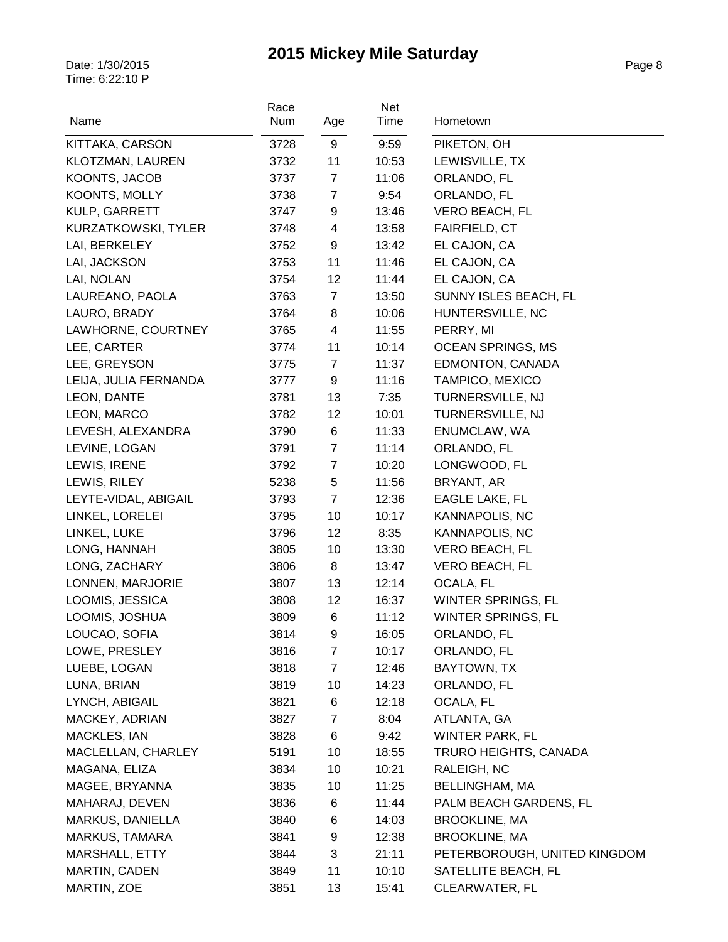| Name                  | Race<br>Num | Age                     | Net<br>Time | Hometown                     |
|-----------------------|-------------|-------------------------|-------------|------------------------------|
| KITTAKA, CARSON       | 3728        | 9                       | 9:59        | PIKETON, OH                  |
| KLOTZMAN, LAUREN      | 3732        | 11                      | 10:53       | LEWISVILLE, TX               |
| KOONTS, JACOB         | 3737        | $\overline{7}$          | 11:06       | ORLANDO, FL                  |
| KOONTS, MOLLY         | 3738        | $\boldsymbol{7}$        | 9:54        | ORLANDO, FL                  |
| KULP, GARRETT         | 3747        | 9                       | 13:46       | VERO BEACH, FL               |
| KURZATKOWSKI, TYLER   | 3748        | $\overline{\mathbf{4}}$ | 13:58       | FAIRFIELD, CT                |
| LAI, BERKELEY         | 3752        | 9                       | 13:42       | EL CAJON, CA                 |
| LAI, JACKSON          | 3753        | 11                      | 11:46       | EL CAJON, CA                 |
| LAI, NOLAN            | 3754        | 12                      | 11:44       | EL CAJON, CA                 |
| LAUREANO, PAOLA       | 3763        | $\overline{7}$          | 13:50       | SUNNY ISLES BEACH, FL        |
| LAURO, BRADY          | 3764        | 8                       | 10:06       | HUNTERSVILLE, NC             |
| LAWHORNE, COURTNEY    | 3765        | $\overline{\mathbf{4}}$ | 11:55       | PERRY, MI                    |
| LEE, CARTER           | 3774        | 11                      | 10:14       | <b>OCEAN SPRINGS, MS</b>     |
| LEE, GREYSON          | 3775        | $\overline{7}$          | 11:37       | EDMONTON, CANADA             |
| LEIJA, JULIA FERNANDA | 3777        | 9                       | 11:16       | TAMPICO, MEXICO              |
| LEON, DANTE           | 3781        | 13                      | 7:35        | TURNERSVILLE, NJ             |
| LEON, MARCO           | 3782        | 12                      | 10:01       | TURNERSVILLE, NJ             |
| LEVESH, ALEXANDRA     | 3790        | 6                       | 11:33       | ENUMCLAW, WA                 |
| LEVINE, LOGAN         | 3791        | $\overline{7}$          | 11:14       | ORLANDO, FL                  |
| LEWIS, IRENE          | 3792        | $\overline{7}$          | 10:20       | LONGWOOD, FL                 |
| LEWIS, RILEY          | 5238        | 5                       | 11:56       | BRYANT, AR                   |
| LEYTE-VIDAL, ABIGAIL  | 3793        | $\overline{7}$          | 12:36       | <b>EAGLE LAKE, FL</b>        |
| LINKEL, LORELEI       | 3795        | 10                      | 10:17       | <b>KANNAPOLIS, NC</b>        |
| LINKEL, LUKE          | 3796        | 12                      | 8:35        | KANNAPOLIS, NC               |
| LONG, HANNAH          | 3805        | 10                      | 13:30       | VERO BEACH, FL               |
| LONG, ZACHARY         | 3806        | 8                       | 13:47       | VERO BEACH, FL               |
| LONNEN, MARJORIE      | 3807        | 13                      | 12:14       | OCALA, FL                    |
| LOOMIS, JESSICA       | 3808        | 12                      | 16:37       | WINTER SPRINGS, FL           |
| LOOMIS, JOSHUA        | 3809        | 6                       | 11:12       | <b>WINTER SPRINGS, FL</b>    |
| LOUCAO, SOFIA         | 3814        | 9                       | 16:05       | ORLANDO, FL                  |
| LOWE, PRESLEY         | 3816        | 7                       | 10:17       | ORLANDO, FL                  |
| LUEBE, LOGAN          | 3818        | $\overline{7}$          | 12:46       | BAYTOWN, TX                  |
| LUNA, BRIAN           | 3819        | 10                      | 14:23       | ORLANDO, FL                  |
| LYNCH, ABIGAIL        | 3821        | 6                       | 12:18       | OCALA, FL                    |
| MACKEY, ADRIAN        | 3827        | 7                       | 8:04        | ATLANTA, GA                  |
| <b>MACKLES, IAN</b>   | 3828        | 6                       | 9:42        | WINTER PARK, FL              |
| MACLELLAN, CHARLEY    | 5191        | 10                      | 18:55       | TRURO HEIGHTS, CANADA        |
| MAGANA, ELIZA         | 3834        | 10                      | 10:21       | RALEIGH, NC                  |
| MAGEE, BRYANNA        | 3835        | 10                      | 11:25       | BELLINGHAM, MA               |
| MAHARAJ, DEVEN        | 3836        | 6                       | 11:44       | PALM BEACH GARDENS, FL       |
| MARKUS, DANIELLA      | 3840        | 6                       | 14:03       | <b>BROOKLINE, MA</b>         |
| MARKUS, TAMARA        | 3841        | 9                       | 12:38       | <b>BROOKLINE, MA</b>         |
| MARSHALL, ETTY        | 3844        | 3                       | 21:11       | PETERBOROUGH, UNITED KINGDOM |
| <b>MARTIN, CADEN</b>  | 3849        | 11                      | 10:10       | SATELLITE BEACH, FL          |
| MARTIN, ZOE           | 3851        | 13                      | 15:41       | CLEARWATER, FL               |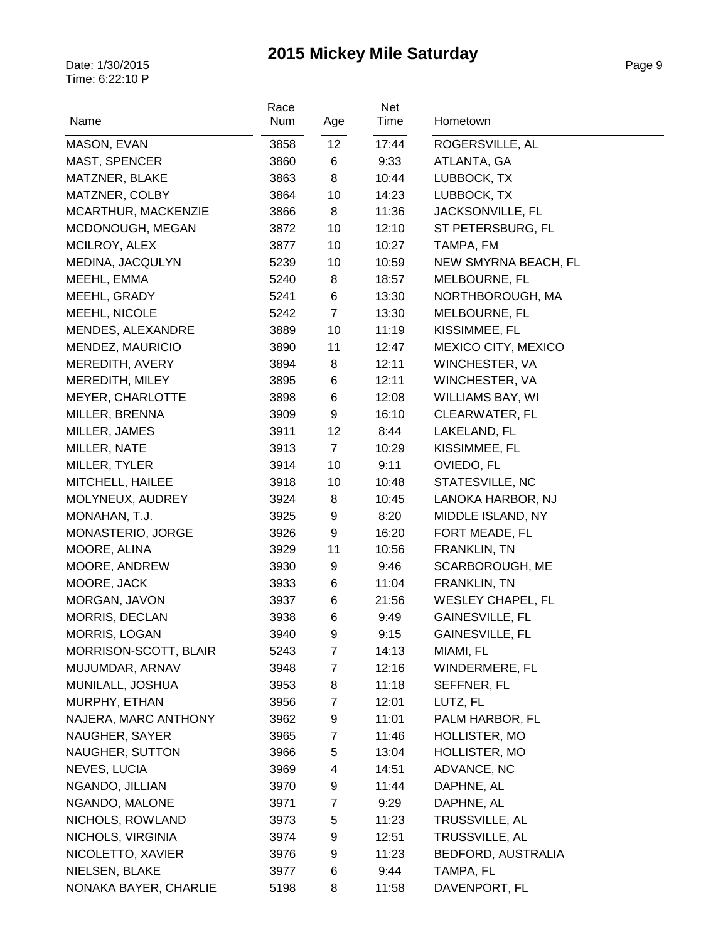| Name                  | Race<br>Num | Age             | Net<br>Time | Hometown                 |
|-----------------------|-------------|-----------------|-------------|--------------------------|
| MASON, EVAN           | 3858        | 12 <sub>2</sub> | 17:44       | ROGERSVILLE, AL          |
| MAST, SPENCER         | 3860        | 6               | 9:33        | ATLANTA, GA              |
| MATZNER, BLAKE        | 3863        | 8               | 10:44       | LUBBOCK, TX              |
| MATZNER, COLBY        | 3864        | 10              | 14:23       | LUBBOCK, TX              |
| MCARTHUR, MACKENZIE   | 3866        | 8               | 11:36       | JACKSONVILLE, FL         |
| MCDONOUGH, MEGAN      | 3872        | 10              | 12:10       | ST PETERSBURG, FL        |
| MCILROY, ALEX         | 3877        | 10              | 10:27       | TAMPA, FM                |
| MEDINA, JACQULYN      | 5239        | 10              | 10:59       | NEW SMYRNA BEACH, FL     |
| MEEHL, EMMA           | 5240        | 8               | 18:57       | MELBOURNE, FL            |
| MEEHL, GRADY          | 5241        | 6               | 13:30       | NORTHBOROUGH, MA         |
| MEEHL, NICOLE         | 5242        | $\overline{7}$  | 13:30       | MELBOURNE, FL            |
| MENDES, ALEXANDRE     | 3889        | 10              | 11:19       | KISSIMMEE, FL            |
| MENDEZ, MAURICIO      | 3890        | 11              | 12:47       | MEXICO CITY, MEXICO      |
| MEREDITH, AVERY       | 3894        | 8               | 12:11       | WINCHESTER, VA           |
| MEREDITH, MILEY       | 3895        | 6               | 12:11       | WINCHESTER, VA           |
| MEYER, CHARLOTTE      | 3898        | 6               | 12:08       | WILLIAMS BAY, WI         |
| MILLER, BRENNA        | 3909        | 9               | 16:10       | <b>CLEARWATER, FL</b>    |
| MILLER, JAMES         | 3911        | 12              | 8:44        | LAKELAND, FL             |
| MILLER, NATE          | 3913        | $\overline{7}$  | 10:29       | KISSIMMEE, FL            |
| MILLER, TYLER         | 3914        | 10              | 9:11        | OVIEDO, FL               |
| MITCHELL, HAILEE      | 3918        | 10              | 10:48       | STATESVILLE, NC          |
| MOLYNEUX, AUDREY      | 3924        | 8               | 10:45       | LANOKA HARBOR, NJ        |
| MONAHAN, T.J.         | 3925        | 9               | 8:20        | MIDDLE ISLAND, NY        |
| MONASTERIO, JORGE     | 3926        | 9               | 16:20       | FORT MEADE, FL           |
| MOORE, ALINA          | 3929        | 11              | 10:56       | FRANKLIN, TN             |
| MOORE, ANDREW         | 3930        | 9               | 9:46        | SCARBOROUGH, ME          |
| MOORE, JACK           | 3933        | 6               | 11:04       | FRANKLIN, TN             |
| MORGAN, JAVON         | 3937        | 6               | 21:56       | <b>WESLEY CHAPEL, FL</b> |
| <b>MORRIS, DECLAN</b> | 3938        | 6               | 9:49        | <b>GAINESVILLE, FL</b>   |
| MORRIS, LOGAN         | 3940        | 9               | 9:15        | GAINESVILLE, FL          |
| MORRISON-SCOTT, BLAIR | 5243        | 7               | 14:13       | MIAMI, FL                |
| MUJUMDAR, ARNAV       | 3948        | $\overline{7}$  | 12:16       | WINDERMERE, FL           |
| MUNILALL, JOSHUA      | 3953        | 8               | 11:18       | SEFFNER, FL              |
| MURPHY, ETHAN         | 3956        | 7               | 12:01       | LUTZ, FL                 |
| NAJERA, MARC ANTHONY  | 3962        | 9               | 11:01       | PALM HARBOR, FL          |
| NAUGHER, SAYER        | 3965        | $\overline{7}$  | 11:46       | HOLLISTER, MO            |
| NAUGHER, SUTTON       | 3966        | 5               | 13:04       | HOLLISTER, MO            |
| NEVES, LUCIA          | 3969        | 4               | 14:51       | ADVANCE, NC              |
| NGANDO, JILLIAN       | 3970        | 9               | 11:44       | DAPHNE, AL               |
| NGANDO, MALONE        | 3971        | $\overline{7}$  | 9:29        | DAPHNE, AL               |
| NICHOLS, ROWLAND      | 3973        | 5               | 11:23       | TRUSSVILLE, AL           |
| NICHOLS, VIRGINIA     | 3974        | 9               | 12:51       | TRUSSVILLE, AL           |
| NICOLETTO, XAVIER     | 3976        | 9               | 11:23       | BEDFORD, AUSTRALIA       |
| NIELSEN, BLAKE        | 3977        | 6               | 9:44        | TAMPA, FL                |
| NONAKA BAYER, CHARLIE | 5198        | 8               | 11:58       | DAVENPORT, FL            |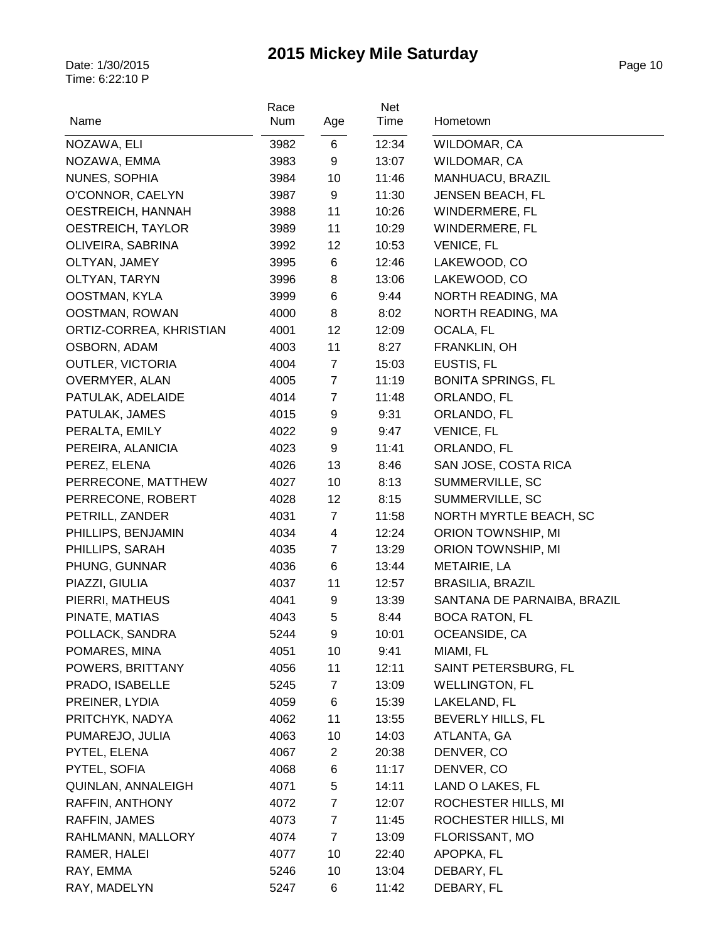| Name                    | Race<br>Num | Age            | Net<br>Time | Hometown                    |
|-------------------------|-------------|----------------|-------------|-----------------------------|
| NOZAWA, ELI             | 3982        | 6              | 12:34       | WILDOMAR, CA                |
| NOZAWA, EMMA            | 3983        | 9              | 13:07       | WILDOMAR, CA                |
| NUNES, SOPHIA           | 3984        | 10             | 11:46       | MANHUACU, BRAZIL            |
| O'CONNOR, CAELYN        | 3987        | 9              | 11:30       | JENSEN BEACH, FL            |
| OESTREICH, HANNAH       | 3988        | 11             | 10:26       | WINDERMERE, FL              |
| OESTREICH, TAYLOR       | 3989        | 11             | 10:29       | WINDERMERE, FL              |
| OLIVEIRA, SABRINA       | 3992        | 12             | 10:53       | VENICE, FL                  |
| OLTYAN, JAMEY           | 3995        | 6              | 12:46       | LAKEWOOD, CO                |
| OLTYAN, TARYN           | 3996        | 8              | 13:06       | LAKEWOOD, CO                |
| OOSTMAN, KYLA           | 3999        | 6              | 9:44        | NORTH READING, MA           |
| OOSTMAN, ROWAN          | 4000        | 8              | 8:02        | NORTH READING, MA           |
| ORTIZ-CORREA, KHRISTIAN | 4001        | 12             | 12:09       | OCALA, FL                   |
| OSBORN, ADAM            | 4003        | 11             | 8:27        | FRANKLIN, OH                |
| <b>OUTLER, VICTORIA</b> | 4004        | $\overline{7}$ | 15:03       | EUSTIS, FL                  |
| OVERMYER, ALAN          | 4005        | $\overline{7}$ | 11:19       | <b>BONITA SPRINGS, FL</b>   |
| PATULAK, ADELAIDE       | 4014        | $\overline{7}$ | 11:48       | ORLANDO, FL                 |
| PATULAK, JAMES          | 4015        | 9              | 9:31        | ORLANDO, FL                 |
| PERALTA, EMILY          | 4022        | 9              | 9:47        | <b>VENICE, FL</b>           |
| PEREIRA, ALANICIA       | 4023        | 9              | 11:41       | ORLANDO, FL                 |
| PEREZ, ELENA            | 4026        | 13             | 8:46        | SAN JOSE, COSTA RICA        |
| PERRECONE, MATTHEW      | 4027        | 10             | 8:13        | SUMMERVILLE, SC             |
| PERRECONE, ROBERT       | 4028        | 12             | 8:15        | SUMMERVILLE, SC             |
| PETRILL, ZANDER         | 4031        | $\overline{7}$ | 11:58       | NORTH MYRTLE BEACH, SC      |
| PHILLIPS, BENJAMIN      | 4034        | 4              | 12:24       | ORION TOWNSHIP, MI          |
| PHILLIPS, SARAH         | 4035        | $\overline{7}$ | 13:29       | ORION TOWNSHIP, MI          |
| PHUNG, GUNNAR           | 4036        | 6              | 13:44       | METAIRIE, LA                |
| PIAZZI, GIULIA          | 4037        | 11             | 12:57       | <b>BRASILIA, BRAZIL</b>     |
| PIERRI, MATHEUS         | 4041        | 9              | 13:39       | SANTANA DE PARNAIBA, BRAZIL |
| PINATE, MATIAS          | 4043        | 5              | 8:44        | <b>BOCA RATON, FL</b>       |
| POLLACK, SANDRA         | 5244        | 9              | 10:01       | OCEANSIDE, CA               |
| POMARES, MINA           | 4051        | 10             | 9:41        | MIAMI, FL                   |
| POWERS, BRITTANY        | 4056        | 11             | 12:11       | SAINT PETERSBURG, FL        |
| PRADO, ISABELLE         | 5245        | $\mathbf{7}$   | 13:09       | <b>WELLINGTON, FL</b>       |
| PREINER, LYDIA          | 4059        | 6              | 15:39       | LAKELAND, FL                |
| PRITCHYK, NADYA         | 4062        | 11             | 13:55       | BEVERLY HILLS, FL           |
| PUMAREJO, JULIA         | 4063        | 10             | 14:03       | ATLANTA, GA                 |
| PYTEL, ELENA            | 4067        | $\overline{2}$ | 20:38       | DENVER, CO                  |
| PYTEL, SOFIA            | 4068        | 6              | 11:17       | DENVER, CO                  |
| QUINLAN, ANNALEIGH      | 4071        | 5              | 14:11       | LAND O LAKES, FL            |
| RAFFIN, ANTHONY         | 4072        | $\mathbf{7}$   | 12:07       | ROCHESTER HILLS, MI         |
| RAFFIN, JAMES           | 4073        | 7              | 11:45       | ROCHESTER HILLS, MI         |
| RAHLMANN, MALLORY       | 4074        | $\overline{7}$ | 13:09       | FLORISSANT, MO              |
| RAMER, HALEI            | 4077        | 10             | 22:40       | APOPKA, FL                  |
| RAY, EMMA               | 5246        | 10             | 13:04       | DEBARY, FL                  |
| RAY, MADELYN            | 5247        | 6              | 11:42       | DEBARY, FL                  |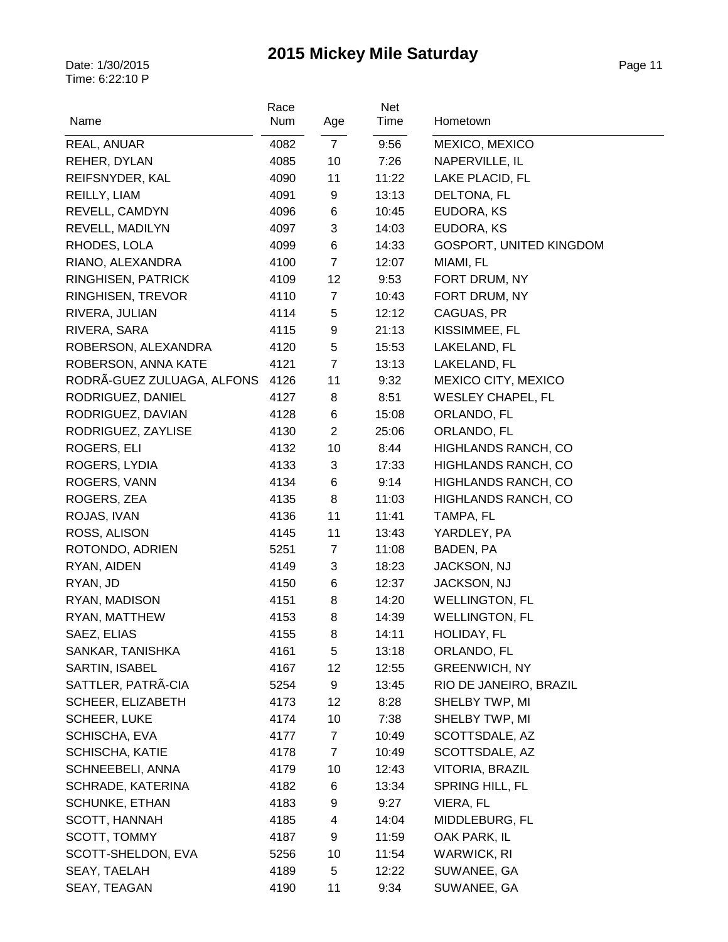| Name                       | Race<br>Num | Age            | Net<br>Time | Hometown                 |
|----------------------------|-------------|----------------|-------------|--------------------------|
| REAL, ANUAR                | 4082        | $\overline{7}$ | 9:56        | MEXICO, MEXICO           |
| REHER, DYLAN               | 4085        | 10             | 7:26        | NAPERVILLE, IL           |
| REIFSNYDER, KAL            | 4090        | 11             | 11:22       | LAKE PLACID, FL          |
| REILLY, LIAM               | 4091        | 9              | 13:13       | DELTONA, FL              |
| REVELL, CAMDYN             | 4096        | 6              | 10:45       | EUDORA, KS               |
| REVELL, MADILYN            | 4097        | 3              | 14:03       | EUDORA, KS               |
| RHODES, LOLA               | 4099        | 6              | 14:33       | GOSPORT, UNITED KINGDOM  |
| RIANO, ALEXANDRA           | 4100        | $\overline{7}$ | 12:07       | MIAMI, FL                |
| RINGHISEN, PATRICK         | 4109        | 12             | 9:53        | FORT DRUM, NY            |
| RINGHISEN, TREVOR          | 4110        | $\overline{7}$ | 10:43       | FORT DRUM, NY            |
| RIVERA, JULIAN             | 4114        | 5              | 12:12       | CAGUAS, PR               |
| RIVERA, SARA               | 4115        | 9              | 21:13       | KISSIMMEE, FL            |
| ROBERSON, ALEXANDRA        | 4120        | 5              | 15:53       | LAKELAND, FL             |
| ROBERSON, ANNA KATE        | 4121        | $\overline{7}$ | 13:13       | LAKELAND, FL             |
| RODRÃ-GUEZ ZULUAGA, ALFONS | 4126        | 11             | 9:32        | MEXICO CITY, MEXICO      |
| RODRIGUEZ, DANIEL          | 4127        | 8              | 8:51        | <b>WESLEY CHAPEL, FL</b> |
| RODRIGUEZ, DAVIAN          | 4128        | 6              | 15:08       | ORLANDO, FL              |
| RODRIGUEZ, ZAYLISE         | 4130        | $\overline{2}$ | 25:06       | ORLANDO, FL              |
| ROGERS, ELI                | 4132        | 10             | 8:44        | HIGHLANDS RANCH, CO      |
| ROGERS, LYDIA              | 4133        | 3              | 17:33       | HIGHLANDS RANCH, CO      |
| ROGERS, VANN               | 4134        | 6              | 9:14        | HIGHLANDS RANCH, CO      |
| ROGERS, ZEA                | 4135        | 8              | 11:03       | HIGHLANDS RANCH, CO      |
| ROJAS, IVAN                | 4136        | 11             | 11:41       | TAMPA, FL                |
| ROSS, ALISON               | 4145        | 11             | 13:43       | YARDLEY, PA              |
| ROTONDO, ADRIEN            | 5251        | 7              | 11:08       | BADEN, PA                |
| RYAN, AIDEN                | 4149        | 3              | 18:23       | JACKSON, NJ              |
| RYAN, JD                   | 4150        | 6              | 12:37       | JACKSON, NJ              |
| RYAN, MADISON              | 4151        | 8              | 14:20       | <b>WELLINGTON, FL</b>    |
| RYAN, MATTHEW              | 4153        | 8              | 14:39       | <b>WELLINGTON, FL</b>    |
| SAEZ, ELIAS                | 4155        | 8              | 14:11       | HOLIDAY, FL              |
| SANKAR, TANISHKA           | 4161        | 5              | 13:18       | ORLANDO, FL              |
| SARTIN, ISABEL             | 4167        | 12             | 12:55       | <b>GREENWICH, NY</b>     |
| SATTLER, PATRA-CIA         | 5254        | 9              | 13:45       | RIO DE JANEIRO, BRAZIL   |
| SCHEER, ELIZABETH          | 4173        | 12             | 8:28        | SHELBY TWP, MI           |
| <b>SCHEER, LUKE</b>        | 4174        | 10             | 7:38        | SHELBY TWP, MI           |
| SCHISCHA, EVA              | 4177        | $\overline{7}$ | 10:49       | SCOTTSDALE, AZ           |
| <b>SCHISCHA, KATIE</b>     | 4178        | $\overline{7}$ | 10:49       | SCOTTSDALE, AZ           |
| SCHNEEBELI, ANNA           | 4179        | 10             | 12:43       | VITORIA, BRAZIL          |
| SCHRADE, KATERINA          | 4182        | 6              | 13:34       | SPRING HILL, FL          |
|                            |             |                |             |                          |
| <b>SCHUNKE, ETHAN</b>      | 4183        | 9<br>4         | 9:27        | VIERA, FL                |
| <b>SCOTT, HANNAH</b>       | 4185        |                | 14:04       | MIDDLEBURG, FL           |
| SCOTT, TOMMY               | 4187        | 9              | 11:59       | OAK PARK, IL             |
| SCOTT-SHELDON, EVA         | 5256        | 10             | 11:54       | WARWICK, RI              |
| SEAY, TAELAH               | 4189        | 5              | 12:22       | SUWANEE, GA              |
| SEAY, TEAGAN               | 4190        | 11             | 9:34        | SUWANEE, GA              |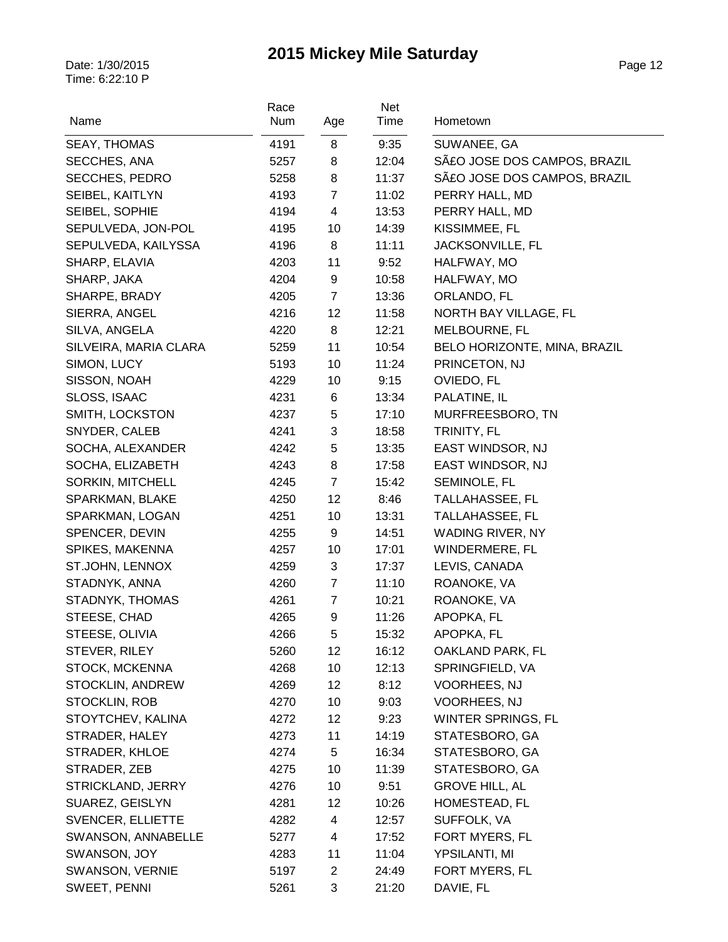| Name                  | Race<br>Num | Age            | Net<br>Time | Hometown                     |
|-----------------------|-------------|----------------|-------------|------------------------------|
| <b>SEAY, THOMAS</b>   | 4191        | 8              | 9:35        | SUWANEE, GA                  |
| SECCHES, ANA          | 5257        | 8              | 12:04       | SãO JOSE DOS CAMPOS, BRAZIL  |
| SECCHES, PEDRO        | 5258        | 8              | 11:37       | SãO JOSE DOS CAMPOS, BRAZIL  |
| SEIBEL, KAITLYN       | 4193        | $\overline{7}$ | 11:02       | PERRY HALL, MD               |
| SEIBEL, SOPHIE        | 4194        | 4              | 13:53       | PERRY HALL, MD               |
| SEPULVEDA, JON-POL    | 4195        | 10             | 14:39       | KISSIMMEE, FL                |
| SEPULVEDA, KAILYSSA   | 4196        | 8              | 11:11       | <b>JACKSONVILLE, FL</b>      |
| SHARP, ELAVIA         | 4203        | 11             | 9:52        | HALFWAY, MO                  |
| SHARP, JAKA           | 4204        | 9              | 10:58       | HALFWAY, MO                  |
| SHARPE, BRADY         | 4205        | $\overline{7}$ | 13:36       | ORLANDO, FL                  |
| SIERRA, ANGEL         | 4216        | 12             | 11:58       | NORTH BAY VILLAGE, FL        |
| SILVA, ANGELA         | 4220        | 8              | 12:21       | MELBOURNE, FL                |
| SILVEIRA, MARIA CLARA | 5259        | 11             | 10:54       | BELO HORIZONTE, MINA, BRAZIL |
| SIMON, LUCY           | 5193        | 10             | 11:24       | PRINCETON, NJ                |
| SISSON, NOAH          | 4229        | 10             | 9:15        | OVIEDO, FL                   |
| SLOSS, ISAAC          | 4231        | 6              | 13:34       | PALATINE, IL                 |
| SMITH, LOCKSTON       | 4237        | 5              | 17:10       | MURFREESBORO, TN             |
| SNYDER, CALEB         | 4241        | 3              | 18:58       | TRINITY, FL                  |
| SOCHA, ALEXANDER      | 4242        | 5              | 13:35       | EAST WINDSOR, NJ             |
| SOCHA, ELIZABETH      | 4243        | 8              | 17:58       | EAST WINDSOR, NJ             |
| SORKIN, MITCHELL      | 4245        | $\overline{7}$ | 15:42       | SEMINOLE, FL                 |
| SPARKMAN, BLAKE       | 4250        | 12             | 8:46        | TALLAHASSEE, FL              |
| SPARKMAN, LOGAN       | 4251        | 10             | 13:31       | TALLAHASSEE, FL              |
| SPENCER, DEVIN        | 4255        | 9              | 14:51       | WADING RIVER, NY             |
| SPIKES, MAKENNA       | 4257        | 10             | 17:01       | WINDERMERE, FL               |
| ST.JOHN, LENNOX       | 4259        | 3              | 17:37       | LEVIS, CANADA                |
| STADNYK, ANNA         | 4260        | $\overline{7}$ | 11:10       | ROANOKE, VA                  |
| STADNYK, THOMAS       | 4261        | $\overline{7}$ | 10:21       | ROANOKE, VA                  |
| STEESE, CHAD          | 4265        | 9              | 11:26       | APOPKA, FL                   |
| STEESE, OLIVIA        | 4266        | 5              | 15:32       | APOPKA, FL                   |
| STEVER, RILEY         | 5260        | 12             | 16:12       | OAKLAND PARK, FL             |
| <b>STOCK, MCKENNA</b> | 4268        | 10             | 12:13       | SPRINGFIELD, VA              |
| STOCKLIN, ANDREW      | 4269        | 12             | 8:12        | <b>VOORHEES, NJ</b>          |
| STOCKLIN, ROB         | 4270        | 10             | 9:03        | <b>VOORHEES, NJ</b>          |
| STOYTCHEV, KALINA     | 4272        | 12             | 9:23        | WINTER SPRINGS, FL           |
| STRADER, HALEY        | 4273        | 11             | 14:19       | STATESBORO, GA               |
| STRADER, KHLOE        | 4274        | 5              | 16:34       | STATESBORO, GA               |
| STRADER, ZEB          | 4275        | 10             | 11:39       | STATESBORO, GA               |
| STRICKLAND, JERRY     | 4276        | 10             | 9:51        | <b>GROVE HILL, AL</b>        |
| SUAREZ, GEISLYN       | 4281        | 12             | 10:26       | HOMESTEAD, FL                |
| SVENCER, ELLIETTE     | 4282        | 4              | 12:57       | SUFFOLK, VA                  |
| SWANSON, ANNABELLE    | 5277        | 4              | 17:52       | FORT MYERS, FL               |
| SWANSON, JOY          | 4283        | 11             | 11:04       | YPSILANTI, MI                |
| SWANSON, VERNIE       | 5197        | $\overline{c}$ | 24:49       | FORT MYERS, FL               |
| SWEET, PENNI          | 5261        | 3              | 21:20       | DAVIE, FL                    |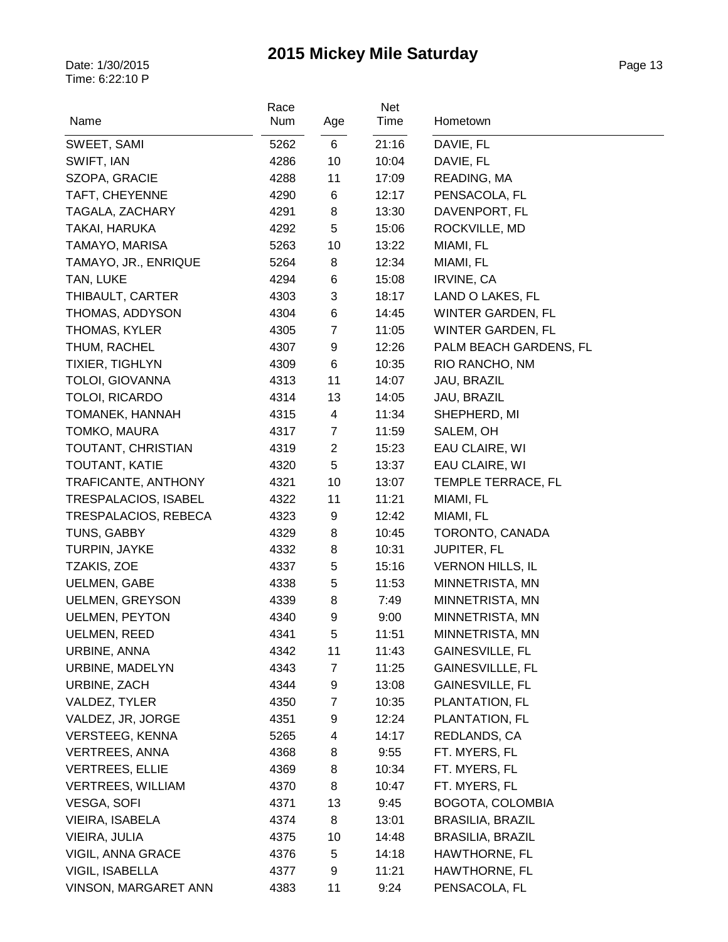| Name                     | Race<br>Num | Age            | Net<br>Time | Hometown                 |
|--------------------------|-------------|----------------|-------------|--------------------------|
| SWEET, SAMI              | 5262        | 6              | 21:16       | DAVIE, FL                |
| SWIFT, IAN               | 4286        | 10             | 10:04       | DAVIE, FL                |
| SZOPA, GRACIE            | 4288        | 11             | 17:09       | READING, MA              |
| TAFT, CHEYENNE           | 4290        | 6              | 12:17       | PENSACOLA, FL            |
| TAGALA, ZACHARY          | 4291        | 8              | 13:30       | DAVENPORT, FL            |
| TAKAI, HARUKA            | 4292        | 5              | 15:06       | ROCKVILLE, MD            |
| TAMAYO, MARISA           | 5263        | 10             | 13:22       | MIAMI, FL                |
| TAMAYO, JR., ENRIQUE     | 5264        | 8              | 12:34       | MIAMI, FL                |
| TAN, LUKE                | 4294        | 6              | 15:08       | <b>IRVINE, CA</b>        |
| THIBAULT, CARTER         | 4303        | 3              | 18:17       | LAND O LAKES, FL         |
| THOMAS, ADDYSON          | 4304        | 6              | 14:45       | <b>WINTER GARDEN, FL</b> |
| THOMAS, KYLER            | 4305        | $\overline{7}$ | 11:05       | <b>WINTER GARDEN, FL</b> |
| THUM, RACHEL             | 4307        | 9              | 12:26       | PALM BEACH GARDENS, FL   |
| <b>TIXIER, TIGHLYN</b>   | 4309        | 6              | 10:35       | RIO RANCHO, NM           |
| <b>TOLOI, GIOVANNA</b>   | 4313        | 11             | 14:07       | JAU, BRAZIL              |
| TOLOI, RICARDO           | 4314        | 13             | 14:05       | JAU, BRAZIL              |
| TOMANEK, HANNAH          | 4315        | $\overline{4}$ | 11:34       | SHEPHERD, MI             |
| TOMKO, MAURA             | 4317        | $\overline{7}$ | 11:59       | SALEM, OH                |
| TOUTANT, CHRISTIAN       | 4319        | $\overline{2}$ | 15:23       | EAU CLAIRE, WI           |
| TOUTANT, KATIE           | 4320        | 5              | 13:37       | EAU CLAIRE, WI           |
| TRAFICANTE, ANTHONY      | 4321        | 10             | 13:07       | TEMPLE TERRACE, FL       |
| TRESPALACIOS, ISABEL     | 4322        | 11             | 11:21       | MIAMI, FL                |
| TRESPALACIOS, REBECA     | 4323        | 9              | 12:42       | MIAMI, FL                |
| TUNS, GABBY              | 4329        | 8              | 10:45       | TORONTO, CANADA          |
| TURPIN, JAYKE            | 4332        | 8              | 10:31       | <b>JUPITER, FL</b>       |
| TZAKIS, ZOE              | 4337        | 5              | 15:16       | <b>VERNON HILLS, IL</b>  |
| <b>UELMEN, GABE</b>      | 4338        | 5              | 11:53       | MINNETRISTA, MN          |
| <b>UELMEN, GREYSON</b>   | 4339        | 8              | 7:49        | MINNETRISTA, MN          |
| <b>UELMEN, PEYTON</b>    | 4340        | 9              | 9:00        | MINNETRISTA, MN          |
| <b>UELMEN, REED</b>      | 4341        | 5              | 11:51       | MINNETRISTA, MN          |
| URBINE, ANNA             | 4342        | 11             | 11:43       | GAINESVILLE, FL          |
| URBINE, MADELYN          | 4343        | 7              | 11:25       | <b>GAINESVILLLE, FL</b>  |
| URBINE, ZACH             | 4344        | 9              | 13:08       | GAINESVILLE, FL          |
| VALDEZ, TYLER            | 4350        | $\overline{7}$ | 10:35       | PLANTATION, FL           |
| VALDEZ, JR, JORGE        | 4351        | 9              | 12:24       | PLANTATION, FL           |
| <b>VERSTEEG, KENNA</b>   | 5265        | 4              | 14:17       | REDLANDS, CA             |
| <b>VERTREES, ANNA</b>    | 4368        | 8              | 9:55        | FT. MYERS, FL            |
| <b>VERTREES, ELLIE</b>   | 4369        | 8              | 10:34       | FT. MYERS, FL            |
| <b>VERTREES, WILLIAM</b> | 4370        | 8              | 10:47       | FT. MYERS, FL            |
| <b>VESGA, SOFI</b>       | 4371        | 13             | 9:45        | BOGOTA, COLOMBIA         |
| VIEIRA, ISABELA          | 4374        | 8              | 13:01       | <b>BRASILIA, BRAZIL</b>  |
| VIEIRA, JULIA            | 4375        | 10             | 14:48       | <b>BRASILIA, BRAZIL</b>  |
| VIGIL, ANNA GRACE        | 4376        | 5              | 14:18       | HAWTHORNE, FL            |
| VIGIL, ISABELLA          | 4377        | 9              | 11:21       | HAWTHORNE, FL            |
| VINSON, MARGARET ANN     | 4383        | 11             | 9:24        | PENSACOLA, FL            |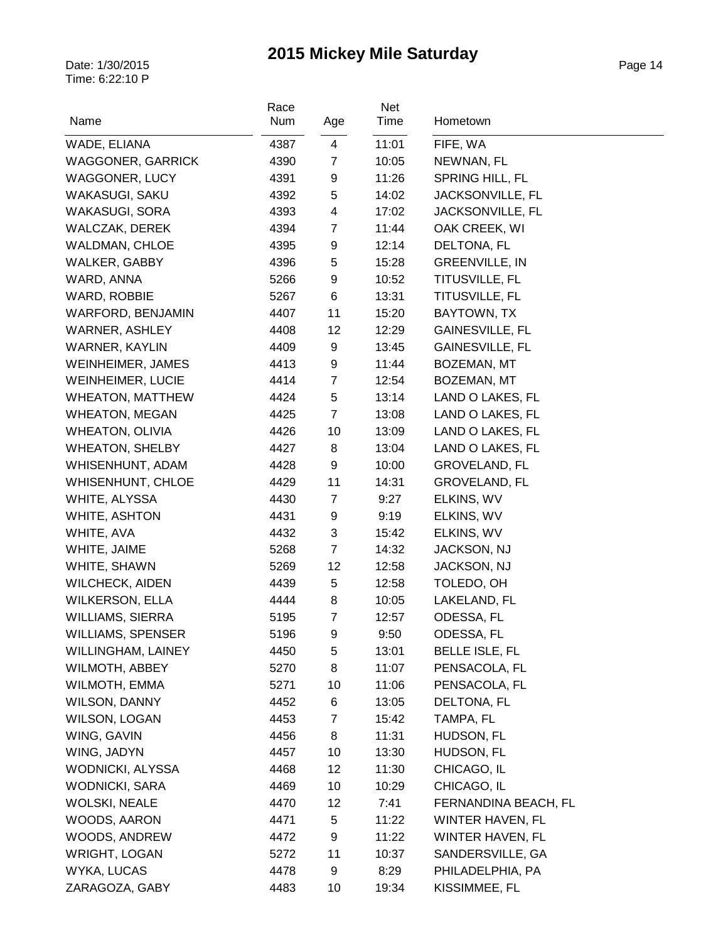| Name                     | Race<br>Num | Age                     | Net<br>Time | Hometown              |
|--------------------------|-------------|-------------------------|-------------|-----------------------|
| WADE, ELIANA             | 4387        | $\overline{4}$          | 11:01       | FIFE, WA              |
| <b>WAGGONER, GARRICK</b> | 4390        | $\overline{7}$          | 10:05       | NEWNAN, FL            |
| <b>WAGGONER, LUCY</b>    | 4391        | 9                       | 11:26       | SPRING HILL, FL       |
| WAKASUGI, SAKU           | 4392        | 5                       | 14:02       | JACKSONVILLE, FL      |
| WAKASUGI, SORA           | 4393        | $\overline{\mathbf{4}}$ | 17:02       | JACKSONVILLE, FL      |
| WALCZAK, DEREK           | 4394        | $\overline{7}$          | 11:44       | OAK CREEK, WI         |
| <b>WALDMAN, CHLOE</b>    | 4395        | 9                       | 12:14       | DELTONA, FL           |
| <b>WALKER, GABBY</b>     | 4396        | 5                       | 15:28       | <b>GREENVILLE, IN</b> |
| WARD, ANNA               | 5266        | 9                       | 10:52       | TITUSVILLE, FL        |
| WARD, ROBBIE             | 5267        | 6                       | 13:31       | TITUSVILLE, FL        |
| WARFORD, BENJAMIN        | 4407        | 11                      | 15:20       | BAYTOWN, TX           |
| <b>WARNER, ASHLEY</b>    | 4408        | 12                      | 12:29       | GAINESVILLE, FL       |
| <b>WARNER, KAYLIN</b>    | 4409        | 9                       | 13:45       | GAINESVILLE, FL       |
| WEINHEIMER, JAMES        | 4413        | 9                       | 11:44       | BOZEMAN, MT           |
| <b>WEINHEIMER, LUCIE</b> | 4414        | $\overline{7}$          | 12:54       | BOZEMAN, MT           |
| <b>WHEATON, MATTHEW</b>  | 4424        | 5                       | 13:14       | LAND O LAKES, FL      |
| <b>WHEATON, MEGAN</b>    | 4425        | $\overline{7}$          | 13:08       | LAND O LAKES, FL      |
| <b>WHEATON, OLIVIA</b>   | 4426        | 10                      | 13:09       | LAND O LAKES, FL      |
| <b>WHEATON, SHELBY</b>   | 4427        | 8                       | 13:04       | LAND O LAKES, FL      |
| WHISENHUNT, ADAM         | 4428        | 9                       | 10:00       | <b>GROVELAND, FL</b>  |
| <b>WHISENHUNT, CHLOE</b> | 4429        | 11                      | 14:31       | <b>GROVELAND, FL</b>  |
| WHITE, ALYSSA            | 4430        | $\overline{7}$          | 9:27        | ELKINS, WV            |
| WHITE, ASHTON            | 4431        | 9                       | 9:19        | ELKINS, WV            |
| WHITE, AVA               | 4432        | 3                       | 15:42       | ELKINS, WV            |
| WHITE, JAIME             | 5268        | $\overline{7}$          | 14:32       | JACKSON, NJ           |
| WHITE, SHAWN             | 5269        | 12                      | 12:58       | JACKSON, NJ           |
| <b>WILCHECK, AIDEN</b>   | 4439        | 5                       | 12:58       | TOLEDO, OH            |
| <b>WILKERSON, ELLA</b>   | 4444        | 8                       | 10:05       | LAKELAND, FL          |
| <b>WILLIAMS, SIERRA</b>  | 5195        | $\overline{7}$          | 12:57       | ODESSA, FL            |
| <b>WILLIAMS, SPENSER</b> | 5196        | 9                       | 9:50        | ODESSA, FL            |
| WILLINGHAM, LAINEY       | 4450        | 5                       | 13:01       | <b>BELLE ISLE, FL</b> |
| <b>WILMOTH, ABBEY</b>    | 5270        | 8                       | 11:07       | PENSACOLA, FL         |
| WILMOTH, EMMA            | 5271        | 10                      | 11:06       | PENSACOLA, FL         |
| WILSON, DANNY            | 4452        | 6                       | 13:05       | DELTONA, FL           |
| <b>WILSON, LOGAN</b>     | 4453        | $\overline{7}$          | 15:42       | TAMPA, FL             |
| WING, GAVIN              | 4456        | 8                       | 11:31       | HUDSON, FL            |
| WING, JADYN              | 4457        | 10                      | 13:30       | HUDSON, FL            |
| WODNICKI, ALYSSA         | 4468        | 12                      | 11:30       | CHICAGO, IL           |
| <b>WODNICKI, SARA</b>    | 4469        | 10                      | 10:29       | CHICAGO, IL           |
| <b>WOLSKI, NEALE</b>     | 4470        | 12                      | 7:41        | FERNANDINA BEACH, FL  |
| WOODS, AARON             | 4471        | 5                       | 11:22       | WINTER HAVEN, FL      |
| WOODS, ANDREW            | 4472        | 9                       | 11:22       | WINTER HAVEN, FL      |
| <b>WRIGHT, LOGAN</b>     | 5272        | 11                      | 10:37       | SANDERSVILLE, GA      |
| WYKA, LUCAS              | 4478        | 9                       | 8:29        | PHILADELPHIA, PA      |
| ZARAGOZA, GABY           | 4483        | 10                      | 19:34       | KISSIMMEE, FL         |